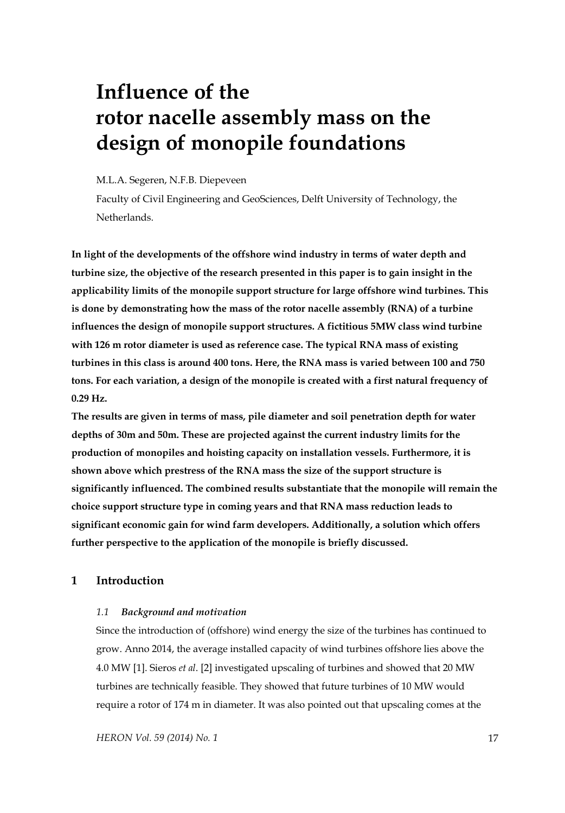# **Influence of the rotor nacelle assembly mass on the design of monopile foundations**

# M.L.A. Segeren, N.F.B. Diepeveen

Faculty of Civil Engineering and GeoSciences, Delft University of Technology, the Netherlands.

**In light of the developments of the offshore wind industry in terms of water depth and turbine size, the objective of the research presented in this paper is to gain insight in the applicability limits of the monopile support structure for large offshore wind turbines. This is done by demonstrating how the mass of the rotor nacelle assembly (RNA) of a turbine influences the design of monopile support structures. A fictitious 5MW class wind turbine with 126 m rotor diameter is used as reference case. The typical RNA mass of existing turbines in this class is around 400 tons. Here, the RNA mass is varied between 100 and 750 tons. For each variation, a design of the monopile is created with a first natural frequency of 0.29 Hz.** 

**The results are given in terms of mass, pile diameter and soil penetration depth for water depths of 30m and 50m. These are projected against the current industry limits for the production of monopiles and hoisting capacity on installation vessels. Furthermore, it is shown above which prestress of the RNA mass the size of the support structure is significantly influenced. The combined results substantiate that the monopile will remain the choice support structure type in coming years and that RNA mass reduction leads to significant economic gain for wind farm developers. Additionally, a solution which offers further perspective to the application of the monopile is briefly discussed.** 

# **1 Introduction**

#### *1.1 Background and motivation*

Since the introduction of (offshore) wind energy the size of the turbines has continued to grow. Anno 2014, the average installed capacity of wind turbines offshore lies above the 4.0 MW [1]. Sieros *et al*. [2] investigated upscaling of turbines and showed that 20 MW turbines are technically feasible. They showed that future turbines of 10 MW would require a rotor of 174 m in diameter. It was also pointed out that upscaling comes at the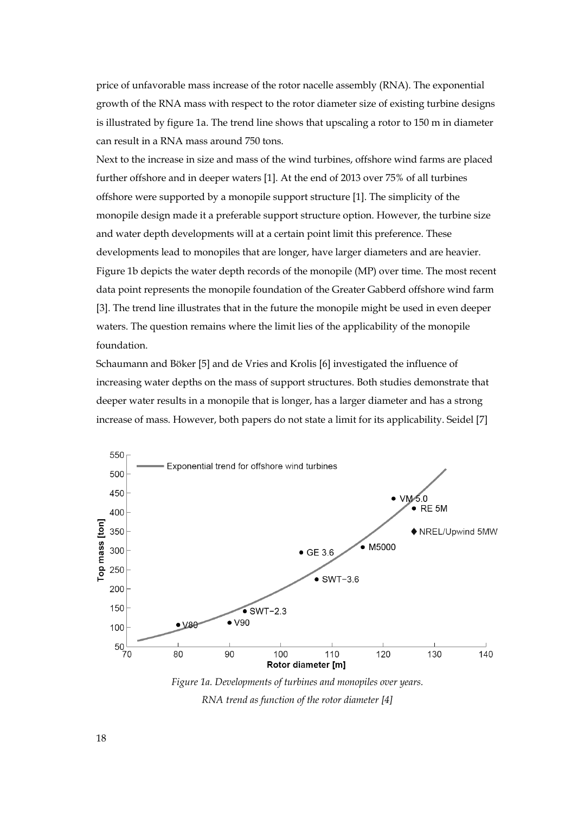price of unfavorable mass increase of the rotor nacelle assembly (RNA). The exponential growth of the RNA mass with respect to the rotor diameter size of existing turbine designs is illustrated by figure 1a. The trend line shows that upscaling a rotor to 150 m in diameter can result in a RNA mass around 750 tons.

Next to the increase in size and mass of the wind turbines, offshore wind farms are placed further offshore and in deeper waters [1]. At the end of 2013 over 75% of all turbines offshore were supported by a monopile support structure [1]. The simplicity of the monopile design made it a preferable support structure option. However, the turbine size and water depth developments will at a certain point limit this preference. These developments lead to monopiles that are longer, have larger diameters and are heavier. Figure 1b depicts the water depth records of the monopile (MP) over time. The most recent data point represents the monopile foundation of the Greater Gabberd offshore wind farm [3]. The trend line illustrates that in the future the monopile might be used in even deeper waters. The question remains where the limit lies of the applicability of the monopile foundation.

Schaumann and Böker [5] and de Vries and Krolis [6] investigated the influence of increasing water depths on the mass of support structures. Both studies demonstrate that deeper water results in a monopile that is longer, has a larger diameter and has a strong increase of mass. However, both papers do not state a limit for its applicability. Seidel [7]



*Figure 1a. Developments of turbines and monopiles over years. RNA trend as function of the rotor diameter [4]*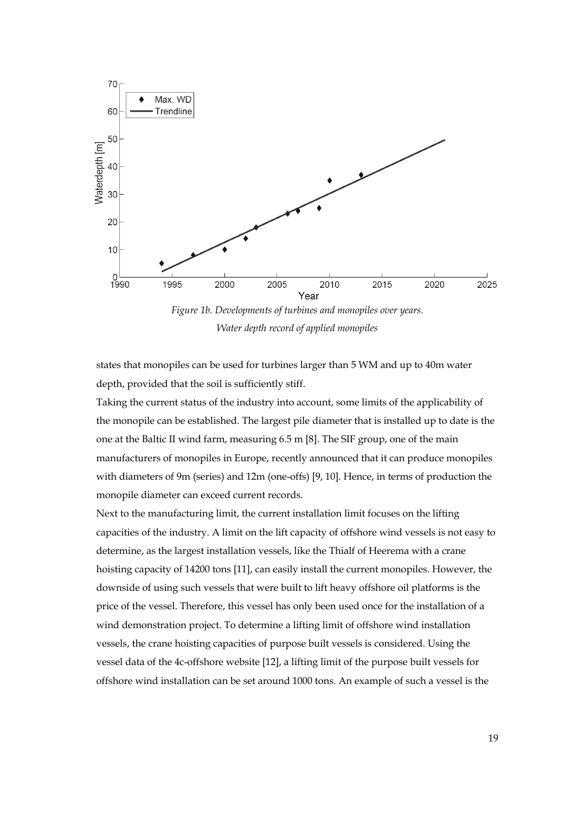

*Water depth record of applied monopiles* 

states that monopiles can be used for turbines larger than 5 WM and up to 40m water depth, provided that the soil is sufficiently stiff.

Taking the current status of the industry into account, some limits of the applicability of the monopile can be established. The largest pile diameter that is installed up to date is the one at the Baltic II wind farm, measuring 6.5 m [8]. The SIF group, one of the main manufacturers of monopiles in Europe, recently announced that it can produce monopiles with diameters of 9m (series) and 12m (one-offs) [9, 10]. Hence, in terms of production the monopile diameter can exceed current records.

Next to the manufacturing limit, the current installation limit focuses on the lifting capacities of the industry. A limit on the lift capacity of offshore wind vessels is not easy to determine, as the largest installation vessels, like the Thialf of Heerema with a crane hoisting capacity of 14200 tons [11], can easily install the current monopiles. However, the downside of using such vessels that were built to lift heavy offshore oil platforms is the price of the vessel. Therefore, this vessel has only been used once for the installation of a wind demonstration project. To determine a lifting limit of offshore wind installation vessels, the crane hoisting capacities of purpose built vessels is considered. Using the vessel data of the 4c-offshore website [12], a lifting limit of the purpose built vessels for offshore wind installation can be set around 1000 tons. An example of such a vessel is the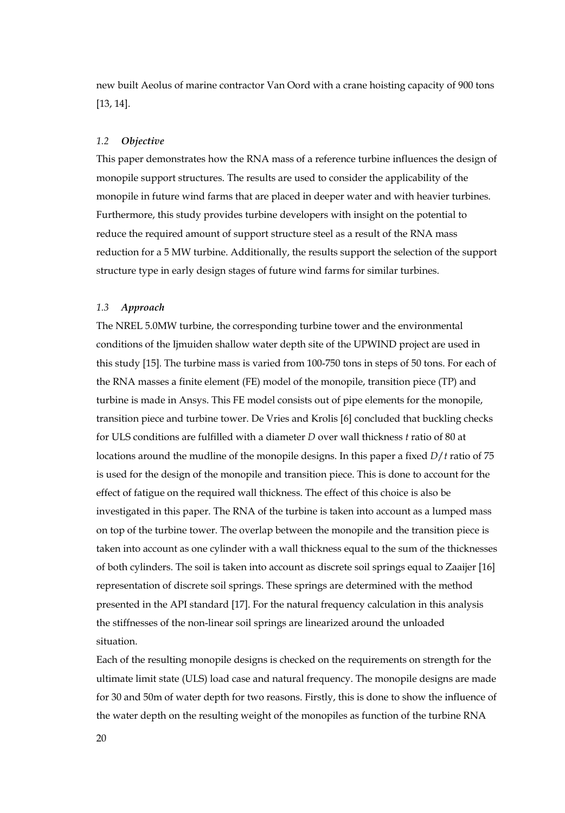new built Aeolus of marine contractor Van Oord with a crane hoisting capacity of 900 tons [13, 14].

#### *1.2 Objective*

This paper demonstrates how the RNA mass of a reference turbine influences the design of monopile support structures. The results are used to consider the applicability of the monopile in future wind farms that are placed in deeper water and with heavier turbines. Furthermore, this study provides turbine developers with insight on the potential to reduce the required amount of support structure steel as a result of the RNA mass reduction for a 5 MW turbine. Additionally, the results support the selection of the support structure type in early design stages of future wind farms for similar turbines.

#### *1.3 Approach*

The NREL 5.0MW turbine, the corresponding turbine tower and the environmental conditions of the Ijmuiden shallow water depth site of the UPWIND project are used in this study [15]. The turbine mass is varied from 100-750 tons in steps of 50 tons. For each of the RNA masses a finite element (FE) model of the monopile, transition piece (TP) and turbine is made in Ansys. This FE model consists out of pipe elements for the monopile, transition piece and turbine tower. De Vries and Krolis [6] concluded that buckling checks for ULS conditions are fulfilled with a diameter *D* over wall thickness *t* ratio of 80 at locations around the mudline of the monopile designs. In this paper a fixed *D*/*t* ratio of 75 is used for the design of the monopile and transition piece. This is done to account for the effect of fatigue on the required wall thickness. The effect of this choice is also be investigated in this paper. The RNA of the turbine is taken into account as a lumped mass on top of the turbine tower. The overlap between the monopile and the transition piece is taken into account as one cylinder with a wall thickness equal to the sum of the thicknesses of both cylinders. The soil is taken into account as discrete soil springs equal to Zaaijer [16] representation of discrete soil springs. These springs are determined with the method presented in the API standard [17]. For the natural frequency calculation in this analysis the stiffnesses of the non-linear soil springs are linearized around the unloaded situation.

Each of the resulting monopile designs is checked on the requirements on strength for the ultimate limit state (ULS) load case and natural frequency. The monopile designs are made for 30 and 50m of water depth for two reasons. Firstly, this is done to show the influence of the water depth on the resulting weight of the monopiles as function of the turbine RNA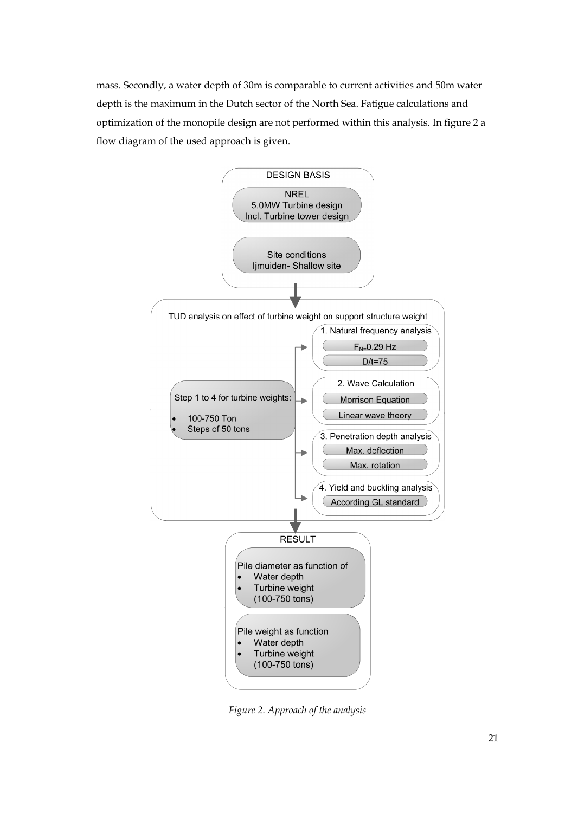mass. Secondly, a water depth of 30m is comparable to current activities and 50m water depth is the maximum in the Dutch sector of the North Sea. Fatigue calculations and optimization of the monopile design are not performed within this analysis. In figure 2 a flow diagram of the used approach is given.



*Figure 2. Approach of the analysis*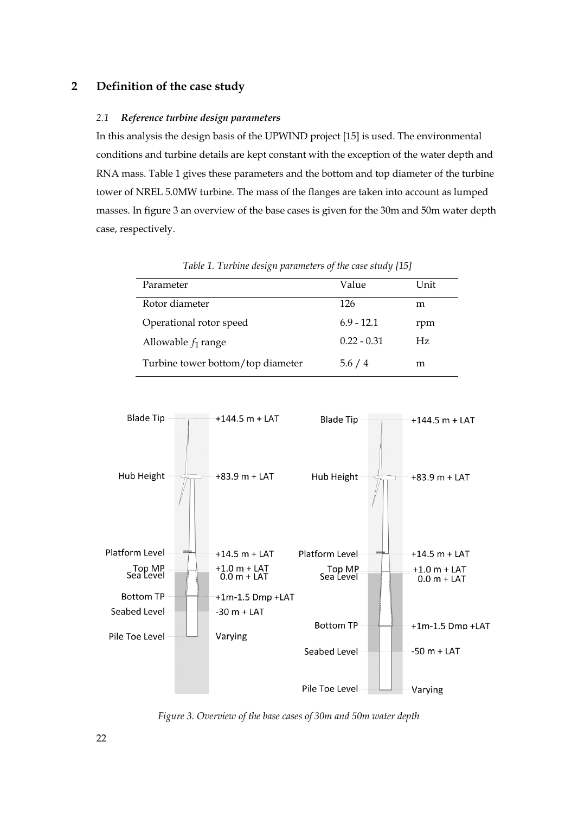# **2 Definition of the case study**

#### *2.1 Reference turbine design parameters*

In this analysis the design basis of the UPWIND project [15] is used. The environmental conditions and turbine details are kept constant with the exception of the water depth and RNA mass. Table 1 gives these parameters and the bottom and top diameter of the turbine tower of NREL 5.0MW turbine. The mass of the flanges are taken into account as lumped masses. In figure 3 an overview of the base cases is given for the 30m and 50m water depth case, respectively.

| Parameter                         | Value         | Unit |
|-----------------------------------|---------------|------|
| Rotor diameter                    | 126           | m    |
| Operational rotor speed           | $6.9 - 12.1$  | rpm  |
| Allowable $f_1$ range             | $0.22 - 0.31$ | Hz.  |
| Turbine tower bottom/top diameter | 5.6/4         | m    |

*Table 1. Turbine design parameters of the case study [15]* 



 *Figure 3. Overview of the base cases of 30m and 50m water depth*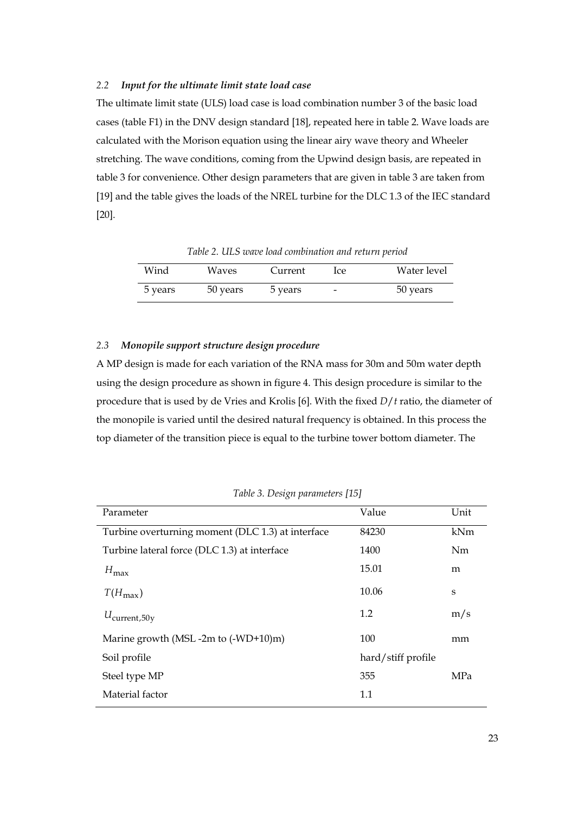# *2.2 Input for the ultimate limit state load case*

The ultimate limit state (ULS) load case is load combination number 3 of the basic load cases (table F1) in the DNV design standard [18], repeated here in table 2. Wave loads are calculated with the Morison equation using the linear airy wave theory and Wheeler stretching. The wave conditions, coming from the Upwind design basis, are repeated in table 3 for convenience. Other design parameters that are given in table 3 are taken from [19] and the table gives the loads of the NREL turbine for the DLC 1.3 of the IEC standard [20].

| Wind    | Waves    | Current | Ice                      | Water level |
|---------|----------|---------|--------------------------|-------------|
| 5 years | 50 years | 5 years | $\overline{\phantom{a}}$ | 50 years    |

*Table 2. ULS wave load combination and return period* 

# *2.3 Monopile support structure design procedure*

A MP design is made for each variation of the RNA mass for 30m and 50m water depth using the design procedure as shown in figure 4. This design procedure is similar to the procedure that is used by de Vries and Krolis [6]. With the fixed *D*/*t* ratio, the diameter of the monopile is varied until the desired natural frequency is obtained. In this process the top diameter of the transition piece is equal to the turbine tower bottom diameter. The

| Parameter                                         | Value              | Unit |
|---------------------------------------------------|--------------------|------|
| Turbine overturning moment (DLC 1.3) at interface | 84230              | kNm  |
| Turbine lateral force (DLC 1.3) at interface      | 1400               | Nm   |
| $H_{\text{max}}$                                  | 15.01              | m    |
| $T(H_{\rm max})$                                  | 10.06              | S    |
| $U_{\text{current},50y}$                          | 1.2                | m/s  |
| Marine growth (MSL -2m to $(-WD+10)m$ )           | 100                | mm   |
| Soil profile                                      | hard/stiff profile |      |
| Steel type MP                                     | 355                | MPa  |
| Material factor                                   | 1.1                |      |

*Table 3. Design parameters [15]*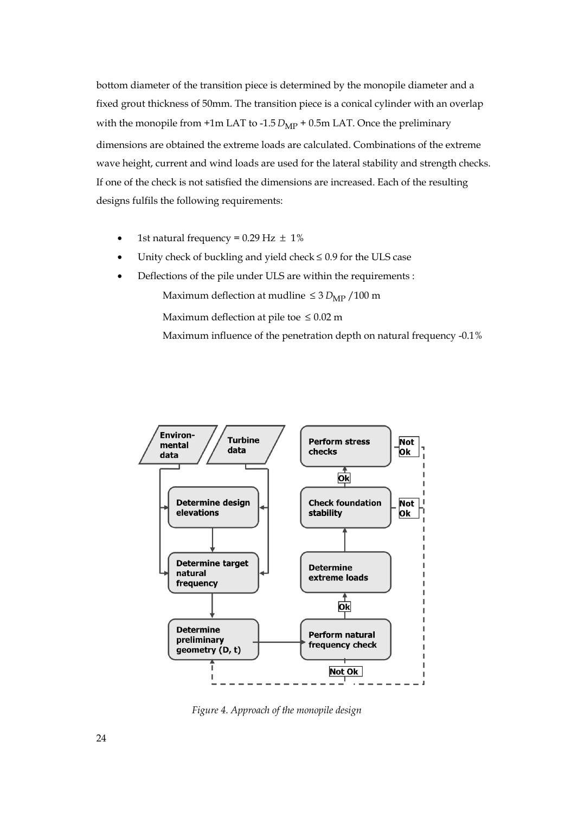bottom diameter of the transition piece is determined by the monopile diameter and a fixed grout thickness of 50mm. The transition piece is a conical cylinder with an overlap with the monopile from  $+1m$  LAT to  $-1.5$   $D_{MP}$  + 0.5m LAT. Once the preliminary dimensions are obtained the extreme loads are calculated. Combinations of the extreme wave height, current and wind loads are used for the lateral stability and strength checks. If one of the check is not satisfied the dimensions are increased. Each of the resulting designs fulfils the following requirements:

- 1st natural frequency =  $0.29$  Hz  $\pm$  1%
- Unity check of buckling and yield check  $\leq 0.9$  for the ULS case
- Deflections of the pile under ULS are within the requirements :

Maximum deflection at mudline  $\leq 3 D_{MP} / 100$  m

Maximum deflection at pile toe  $\leq 0.02$  m

Maximum influence of the penetration depth on natural frequency -0.1%



 *Figure 4. Approach of the monopile design*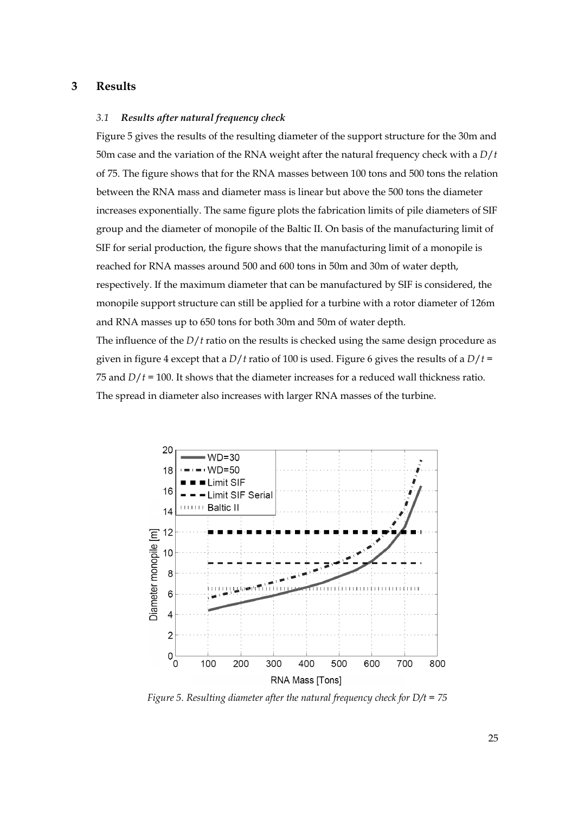#### **3 Results**

## *3.1 Results after natural frequency check*

Figure 5 gives the results of the resulting diameter of the support structure for the 30m and 50m case and the variation of the RNA weight after the natural frequency check with a *D*/*t* of 75. The figure shows that for the RNA masses between 100 tons and 500 tons the relation between the RNA mass and diameter mass is linear but above the 500 tons the diameter increases exponentially. The same figure plots the fabrication limits of pile diameters of SIF group and the diameter of monopile of the Baltic II. On basis of the manufacturing limit of SIF for serial production, the figure shows that the manufacturing limit of a monopile is reached for RNA masses around 500 and 600 tons in 50m and 30m of water depth, respectively. If the maximum diameter that can be manufactured by SIF is considered, the monopile support structure can still be applied for a turbine with a rotor diameter of 126m and RNA masses up to 650 tons for both 30m and 50m of water depth.

The influence of the *D*/*t* ratio on the results is checked using the same design procedure as given in figure 4 except that a *D*/*t* ratio of 100 is used. Figure 6 gives the results of a *D*/*t* = 75 and *D*/*t* = 100. It shows that the diameter increases for a reduced wall thickness ratio. The spread in diameter also increases with larger RNA masses of the turbine.



*Figure 5. Resulting diameter after the natural frequency check for D/t = 75*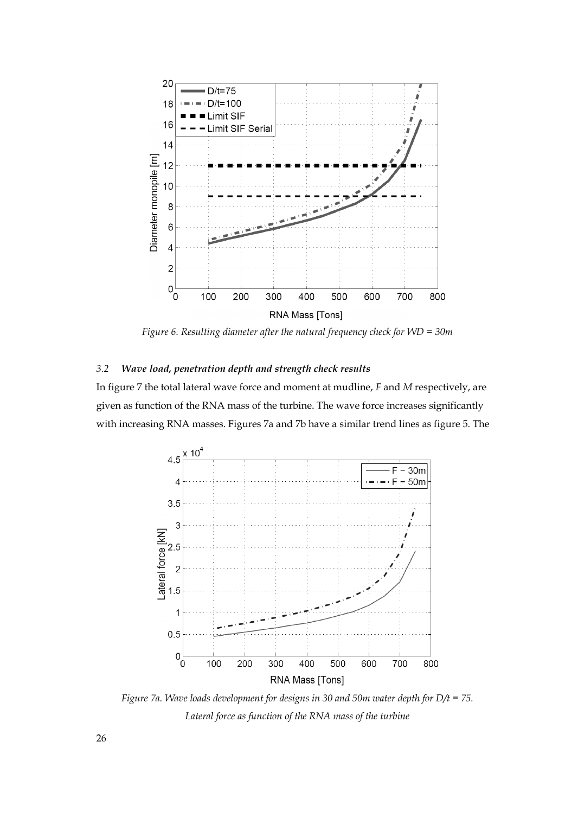

*Figure 6. Resulting diameter after the natural frequency check for WD = 30m* 

## *3.2 Wave load, penetration depth and strength check results*

In figure 7 the total lateral wave force and moment at mudline, *F* and *M* respectively, are given as function of the RNA mass of the turbine. The wave force increases significantly with increasing RNA masses. Figures 7a and 7b have a similar trend lines as figure 5. The



*Figure 7a. Wave loads development for designs in 30 and 50m water depth for D/t = 75. Lateral force as function of the RNA mass of the turbine*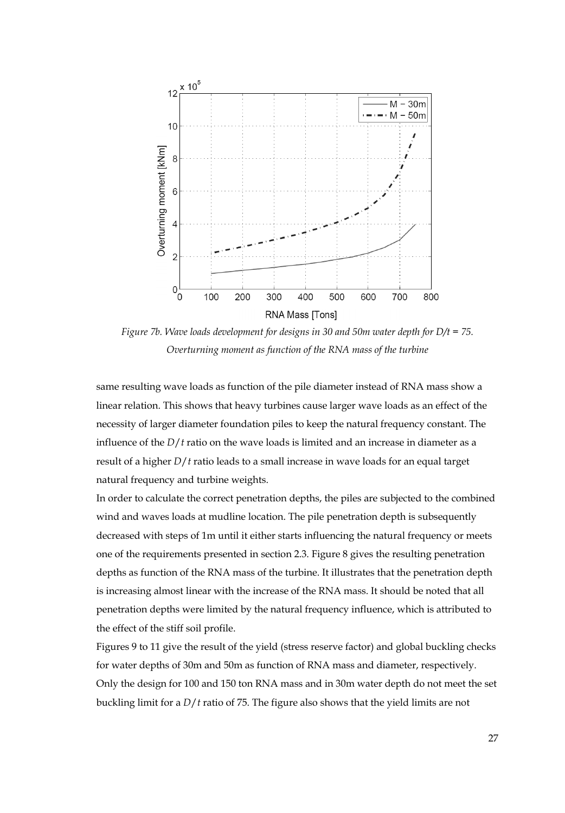

*Figure 7b. Wave loads development for designs in 30 and 50m water depth for D/t = 75. Overturning moment as function of the RNA mass of the turbine* 

same resulting wave loads as function of the pile diameter instead of RNA mass show a linear relation. This shows that heavy turbines cause larger wave loads as an effect of the necessity of larger diameter foundation piles to keep the natural frequency constant. The influence of the *D*/*t* ratio on the wave loads is limited and an increase in diameter as a result of a higher *D*/*t* ratio leads to a small increase in wave loads for an equal target natural frequency and turbine weights.

In order to calculate the correct penetration depths, the piles are subjected to the combined wind and waves loads at mudline location. The pile penetration depth is subsequently decreased with steps of 1m until it either starts influencing the natural frequency or meets one of the requirements presented in section 2.3. Figure 8 gives the resulting penetration depths as function of the RNA mass of the turbine. It illustrates that the penetration depth is increasing almost linear with the increase of the RNA mass. It should be noted that all penetration depths were limited by the natural frequency influence, which is attributed to the effect of the stiff soil profile.

Figures 9 to 11 give the result of the yield (stress reserve factor) and global buckling checks for water depths of 30m and 50m as function of RNA mass and diameter, respectively. Only the design for 100 and 150 ton RNA mass and in 30m water depth do not meet the set buckling limit for a *D*/*t* ratio of 75. The figure also shows that the yield limits are not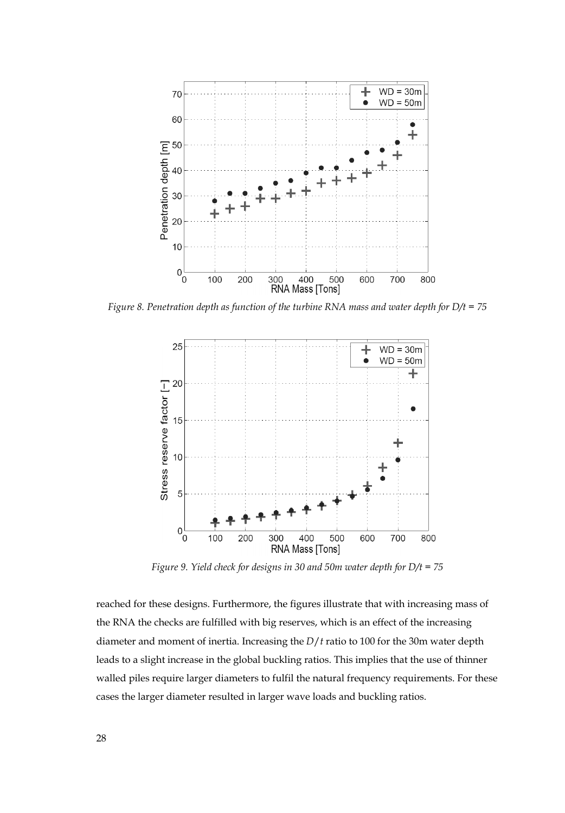

*Figure 8. Penetration depth as function of the turbine RNA mass and water depth for D/t = 75* 



*Figure 9. Yield check for designs in 30 and 50m water depth for D/t = 75* 

reached for these designs. Furthermore, the figures illustrate that with increasing mass of the RNA the checks are fulfilled with big reserves, which is an effect of the increasing diameter and moment of inertia. Increasing the *D*/*t* ratio to 100 for the 30m water depth leads to a slight increase in the global buckling ratios. This implies that the use of thinner walled piles require larger diameters to fulfil the natural frequency requirements. For these cases the larger diameter resulted in larger wave loads and buckling ratios.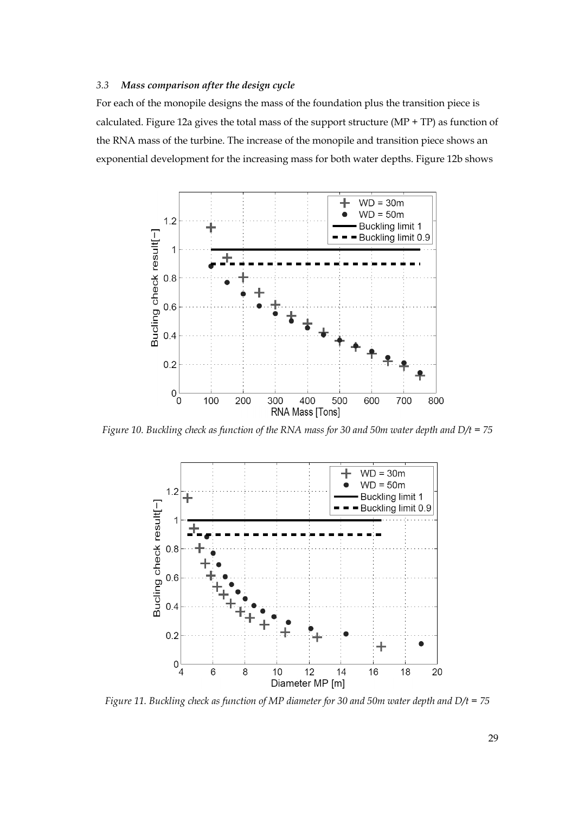#### *3.3 Mass comparison after the design cycle*

For each of the monopile designs the mass of the foundation plus the transition piece is calculated. Figure 12a gives the total mass of the support structure (MP + TP) as function of the RNA mass of the turbine. The increase of the monopile and transition piece shows an exponential development for the increasing mass for both water depths. Figure 12b shows



*Figure 10. Buckling check as function of the RNA mass for 30 and 50m water depth and D/t = 75* 



*Figure 11. Buckling check as function of MP diameter for 30 and 50m water depth and D/t = 75*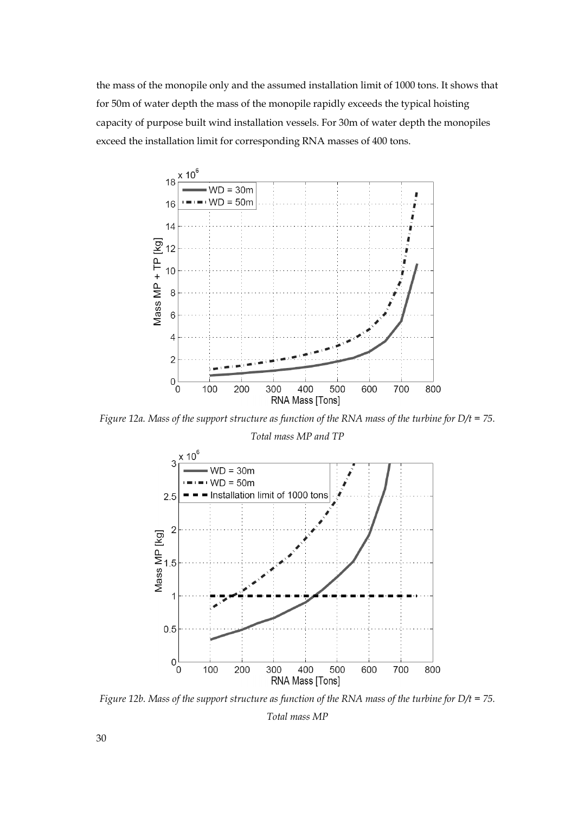the mass of the monopile only and the assumed installation limit of 1000 tons. It shows that for 50m of water depth the mass of the monopile rapidly exceeds the typical hoisting capacity of purpose built wind installation vessels. For 30m of water depth the monopiles exceed the installation limit for corresponding RNA masses of 400 tons.



*Figure 12a. Mass of the support structure as function of the RNA mass of the turbine for D/t = 75.* 

*Total mass MP and TP* 



*Figure 12b. Mass of the support structure as function of the RNA mass of the turbine for D/t = 75. Total mass MP*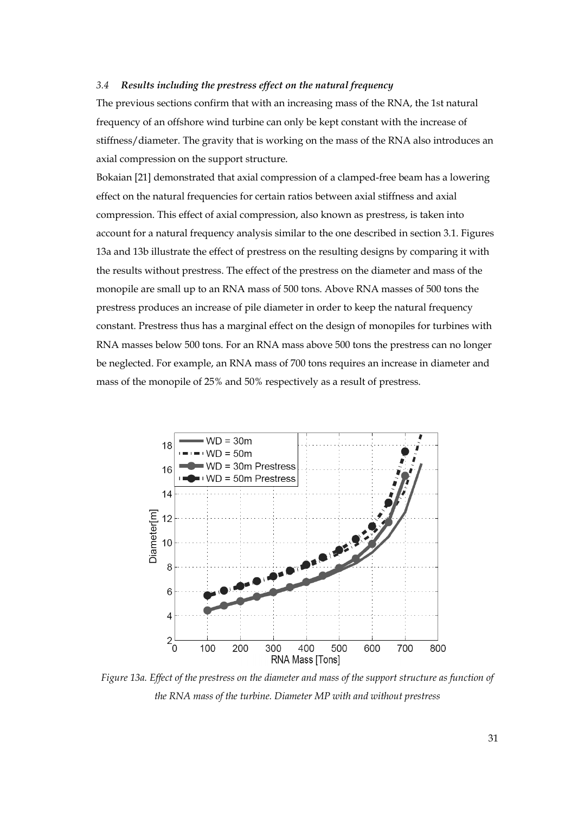## *3.4 Results including the prestress effect on the natural frequency*

The previous sections confirm that with an increasing mass of the RNA, the 1st natural frequency of an offshore wind turbine can only be kept constant with the increase of stiffness/diameter. The gravity that is working on the mass of the RNA also introduces an axial compression on the support structure.

Bokaian [21] demonstrated that axial compression of a clamped-free beam has a lowering effect on the natural frequencies for certain ratios between axial stiffness and axial compression. This effect of axial compression, also known as prestress, is taken into account for a natural frequency analysis similar to the one described in section 3.1. Figures 13a and 13b illustrate the effect of prestress on the resulting designs by comparing it with the results without prestress. The effect of the prestress on the diameter and mass of the monopile are small up to an RNA mass of 500 tons. Above RNA masses of 500 tons the prestress produces an increase of pile diameter in order to keep the natural frequency constant. Prestress thus has a marginal effect on the design of monopiles for turbines with RNA masses below 500 tons. For an RNA mass above 500 tons the prestress can no longer be neglected. For example, an RNA mass of 700 tons requires an increase in diameter and mass of the monopile of 25% and 50% respectively as a result of prestress.



*Figure 13a. Effect of the prestress on the diameter and mass of the support structure as function of the RNA mass of the turbine. Diameter MP with and without prestress*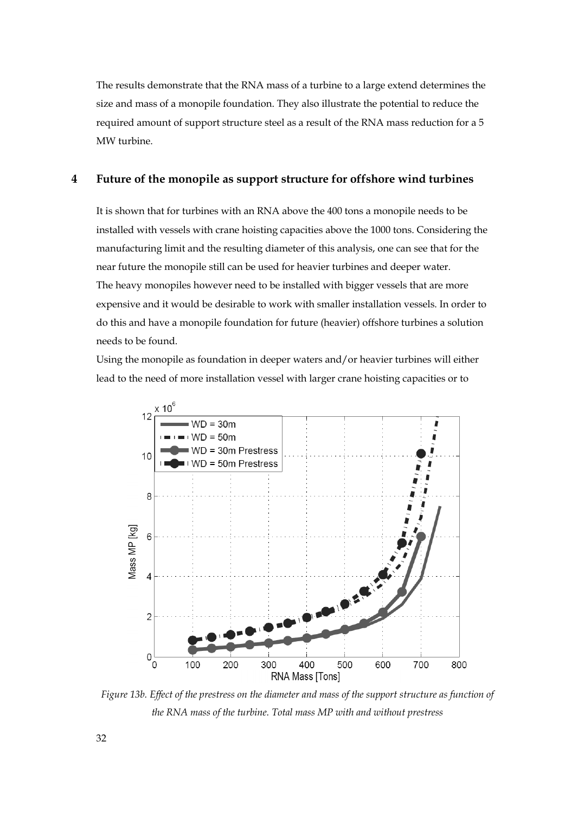The results demonstrate that the RNA mass of a turbine to a large extend determines the size and mass of a monopile foundation. They also illustrate the potential to reduce the required amount of support structure steel as a result of the RNA mass reduction for a 5 MW turbine.

## **4 Future of the monopile as support structure for offshore wind turbines**

It is shown that for turbines with an RNA above the 400 tons a monopile needs to be installed with vessels with crane hoisting capacities above the 1000 tons. Considering the manufacturing limit and the resulting diameter of this analysis, one can see that for the near future the monopile still can be used for heavier turbines and deeper water. The heavy monopiles however need to be installed with bigger vessels that are more expensive and it would be desirable to work with smaller installation vessels. In order to do this and have a monopile foundation for future (heavier) offshore turbines a solution needs to be found.

Using the monopile as foundation in deeper waters and/or heavier turbines will either lead to the need of more installation vessel with larger crane hoisting capacities or to



*Figure 13b. Effect of the prestress on the diameter and mass of the support structure as function of the RNA mass of the turbine. Total mass MP with and without prestress*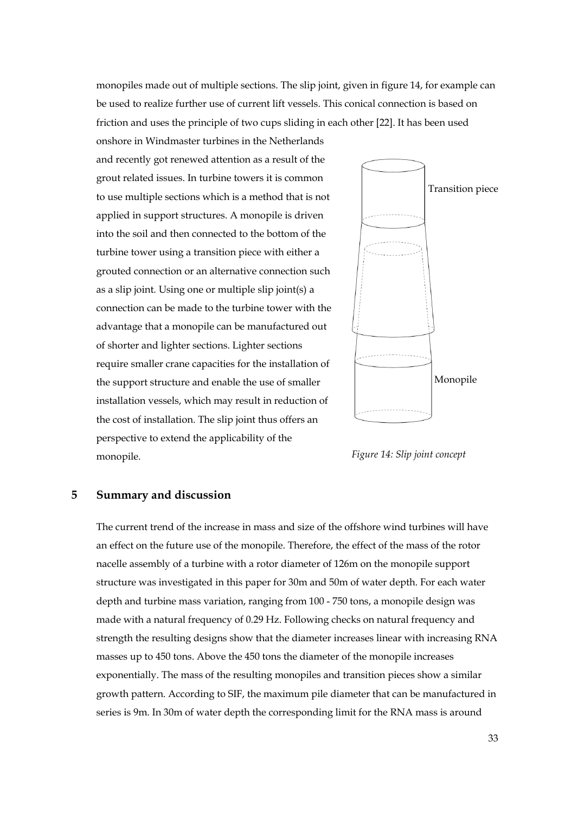monopiles made out of multiple sections. The slip joint, given in figure 14, for example can be used to realize further use of current lift vessels. This conical connection is based on friction and uses the principle of two cups sliding in each other [22]. It has been used

and recently got renewed attention as a result of the grout related issues. In turbine towers it is common to use multiple sections which is a method that is not applied in support structures. A monopile is driven into the soil and then connected to the bottom of the turbine tower using a transition piece with either a grouted connection or an alternative connection such as a slip joint. Using one or multiple slip joint(s) a connection can be made to the turbine tower with the advantage that a monopile can be manufactured out of shorter and lighter sections. Lighter sections require smaller crane capacities for the installation of the support structure and enable the use of smaller installation vessels, which may result in reduction of the cost of installation. The slip joint thus offers an perspective to extend the applicability of the monopile.

onshore in Windmaster turbines in the Netherlands



*Figure 14: Slip joint concept* 

# **5 Summary and discussion**

The current trend of the increase in mass and size of the offshore wind turbines will have an effect on the future use of the monopile. Therefore, the effect of the mass of the rotor nacelle assembly of a turbine with a rotor diameter of 126m on the monopile support structure was investigated in this paper for 30m and 50m of water depth. For each water depth and turbine mass variation, ranging from 100 - 750 tons, a monopile design was made with a natural frequency of 0.29 Hz. Following checks on natural frequency and strength the resulting designs show that the diameter increases linear with increasing RNA masses up to 450 tons. Above the 450 tons the diameter of the monopile increases exponentially. The mass of the resulting monopiles and transition pieces show a similar growth pattern. According to SIF, the maximum pile diameter that can be manufactured in series is 9m. In 30m of water depth the corresponding limit for the RNA mass is around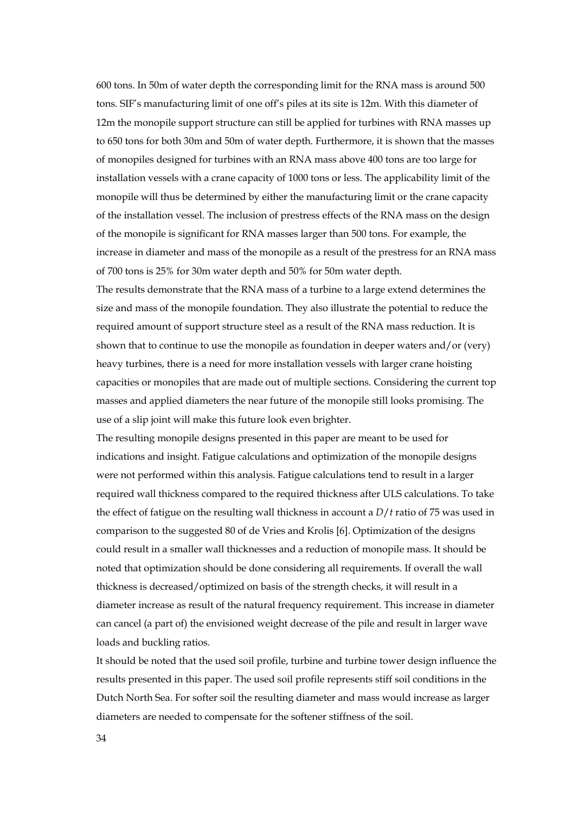600 tons. In 50m of water depth the corresponding limit for the RNA mass is around 500 tons. SIF's manufacturing limit of one off's piles at its site is 12m. With this diameter of 12m the monopile support structure can still be applied for turbines with RNA masses up to 650 tons for both 30m and 50m of water depth. Furthermore, it is shown that the masses of monopiles designed for turbines with an RNA mass above 400 tons are too large for installation vessels with a crane capacity of 1000 tons or less. The applicability limit of the monopile will thus be determined by either the manufacturing limit or the crane capacity of the installation vessel. The inclusion of prestress effects of the RNA mass on the design of the monopile is significant for RNA masses larger than 500 tons. For example, the increase in diameter and mass of the monopile as a result of the prestress for an RNA mass of 700 tons is 25% for 30m water depth and 50% for 50m water depth.

The results demonstrate that the RNA mass of a turbine to a large extend determines the size and mass of the monopile foundation. They also illustrate the potential to reduce the required amount of support structure steel as a result of the RNA mass reduction. It is shown that to continue to use the monopile as foundation in deeper waters and/or (very) heavy turbines, there is a need for more installation vessels with larger crane hoisting capacities or monopiles that are made out of multiple sections. Considering the current top masses and applied diameters the near future of the monopile still looks promising. The use of a slip joint will make this future look even brighter.

The resulting monopile designs presented in this paper are meant to be used for indications and insight. Fatigue calculations and optimization of the monopile designs were not performed within this analysis. Fatigue calculations tend to result in a larger required wall thickness compared to the required thickness after ULS calculations. To take the effect of fatigue on the resulting wall thickness in account a *D*/*t* ratio of 75 was used in comparison to the suggested 80 of de Vries and Krolis [6]. Optimization of the designs could result in a smaller wall thicknesses and a reduction of monopile mass. It should be noted that optimization should be done considering all requirements. If overall the wall thickness is decreased/optimized on basis of the strength checks, it will result in a diameter increase as result of the natural frequency requirement. This increase in diameter can cancel (a part of) the envisioned weight decrease of the pile and result in larger wave loads and buckling ratios.

It should be noted that the used soil profile, turbine and turbine tower design influence the results presented in this paper. The used soil profile represents stiff soil conditions in the Dutch North Sea. For softer soil the resulting diameter and mass would increase as larger diameters are needed to compensate for the softener stiffness of the soil.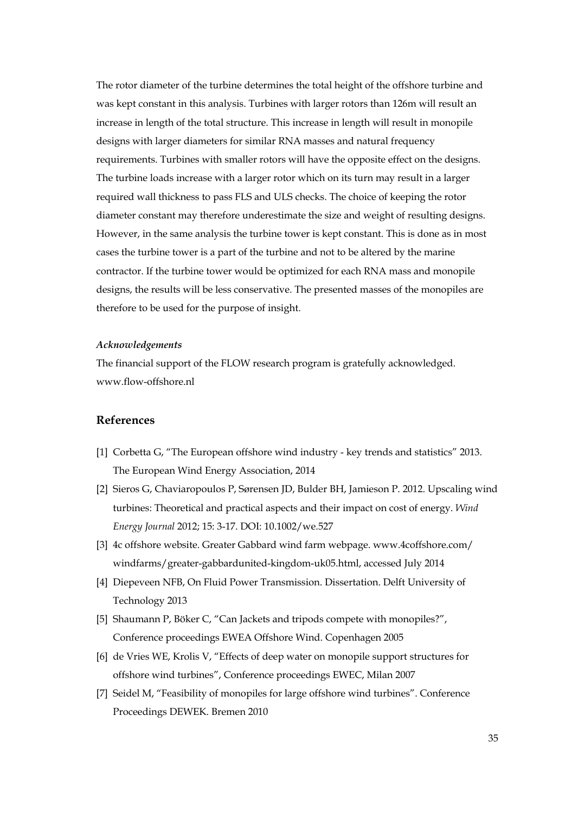The rotor diameter of the turbine determines the total height of the offshore turbine and was kept constant in this analysis. Turbines with larger rotors than 126m will result an increase in length of the total structure. This increase in length will result in monopile designs with larger diameters for similar RNA masses and natural frequency requirements. Turbines with smaller rotors will have the opposite effect on the designs. The turbine loads increase with a larger rotor which on its turn may result in a larger required wall thickness to pass FLS and ULS checks. The choice of keeping the rotor diameter constant may therefore underestimate the size and weight of resulting designs. However, in the same analysis the turbine tower is kept constant. This is done as in most cases the turbine tower is a part of the turbine and not to be altered by the marine contractor. If the turbine tower would be optimized for each RNA mass and monopile designs, the results will be less conservative. The presented masses of the monopiles are therefore to be used for the purpose of insight.

#### *Acknowledgements*

The financial support of the FLOW research program is gratefully acknowledged. www.flow-offshore.nl

# **References**

- [1] Corbetta G, "The European offshore wind industry key trends and statistics" 2013. The European Wind Energy Association, 2014
- [2] Sieros G, Chaviaropoulos P, Sørensen JD, Bulder BH, Jamieson P. 2012. Upscaling wind turbines: Theoretical and practical aspects and their impact on cost of energy. *Wind Energy Journal* 2012; 15: 3-17. DOI: 10.1002/we.527
- [3] 4c offshore website. Greater Gabbard wind farm webpage. www.4coffshore.com/ windfarms/greater-gabbardunited-kingdom-uk05.html, accessed July 2014
- [4] Diepeveen NFB, On Fluid Power Transmission. Dissertation. Delft University of Technology 2013
- [5] Shaumann P, Böker C, "Can Jackets and tripods compete with monopiles?", Conference proceedings EWEA Offshore Wind. Copenhagen 2005
- [6] de Vries WE, Krolis V, "Effects of deep water on monopile support structures for offshore wind turbines", Conference proceedings EWEC, Milan 2007
- [7] Seidel M, "Feasibility of monopiles for large offshore wind turbines". Conference Proceedings DEWEK. Bremen 2010